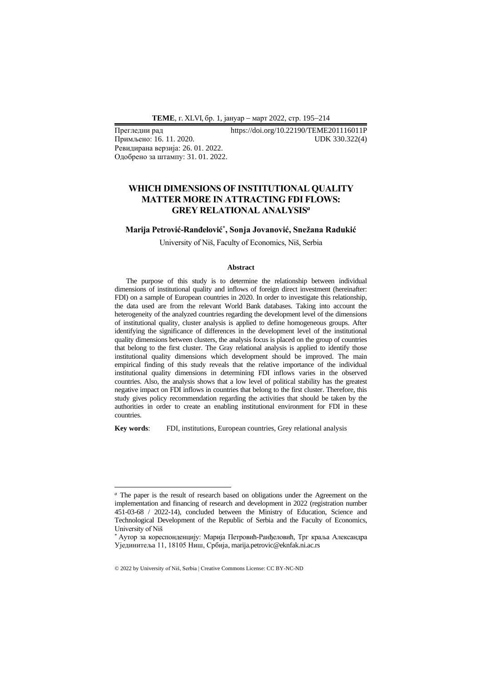**ТEME**, г. XLVI, бр. 1, јануар − март 2022, стр. 195−214

Примљено: 16. 11. 2020. Ревидирана верзија: 26. 01. 2022. Одобрено за штампу: 31. 01. 2022.

Прегледни рад https://doi.org/10.22190/TEME201116011P<br>Примљено: 16. 11. 2020. UDK 330.322(4)

# **WHICH DIMENSIONS OF INSTITUTIONAL QUALITY MATTER MORE IN ATTRACTING FDI FLOWS: GREY RELATIONAL ANALYSIS***<sup>a</sup>*

## **Marija Petrović-Ranđelović\* , Sonja Jovanović, Snežana Radukić**

University of Niš, Faculty of Economics, Niš, Serbia

#### **Abstract**

The purpose of this study is to determine the relationship between individual dimensions of institutional quality and inflows of foreign direct investment (hereinafter: FDI) on a sample of European countries in 2020. In order to investigate this relationship, the data used are from the relevant World Bank databases. Taking into account the heterogeneity of the analyzed countries regarding the development level of the dimensions of institutional quality, cluster analysis is applied to define homogeneous groups. After identifying the significance of differences in the development level of the institutional quality dimensions between clusters, the analysis focus is placed on the group of countries that belong to the first cluster. The Gray relational analysis is applied to identify those institutional quality dimensions which development should be improved. The main empirical finding of this study reveals that the relative importance of the individual institutional quality dimensions in determining FDI inflows varies in the observed countries. Also, the analysis shows that a low level of political stability has the greatest negative impact on FDI inflows in countries that belong to the first cluster. Therefore, this study gives policy recommendation regarding the activities that should be taken by the authorities in order to create an enabling institutional environment for FDI in these countries.

**Key words**: FDI, institutions, European countries, Grey relational analysis

*<sup>a</sup>* The paper is the result of research based on obligations under the Agreement on the implementation and financing of research and development in 2022 (registration number 451-03-68 / 2022-14), concluded between the Ministry of Education, Science and Technological Development of the Republic of Serbia and the Faculty of Economics, University of Niš

<sup>\*</sup> Аутор за кореспонденцију: Марија Петровић-Ранђеловић, Трг краља Александра Ујединитеља 11, 18105 Ниш, Србија, marija.petrovic@eknfak.ni.ac.rs

<sup>© 2022</sup> by University of Niš, Serbia | Creative Commons License: CC BY-NC-ND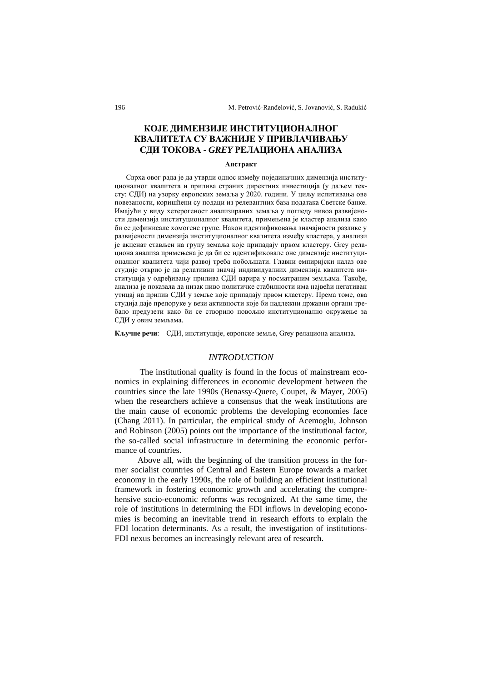# **КОЈЕ ДИМЕНЗИЈЕ ИНСТИТУЦИОНАЛНОГ КВАЛИТЕТА СУ ВАЖНИЈЕ У ПРИВЛАЧИВАЊУ СДИ ТОКОВА -** *GREY* **РЕЛАЦИОНА АНАЛИЗA**

### **Апстракт**

Сврха овог рада је да утврди однос између појединачних димензија институционалног квалитета и прилива страних директних инвестиција (у даљем тексту: СДИ) на узорку европских земаља у 2020. години. У циљу испитивања ове повезаности, коришћени су подаци из релевантних база података Светске банке. Имајући у виду хетерогеност анализираних земаља у погледу нивоа развијености димензија институционалног квалитета, примењена је кластер анализа како би се дефинисале хомогене групе. Након идентификовања значајности разлике у развијености димензија институционалног квалитета између кластера, у анализи је акценат стављен на групу земаља које припадају првом кластеру. Grey релациона анализа примењена је да би се идентификовале оне димензије институционалног квалитета чији развој треба побољшати. Главни емпиријски налаз ове студије открио је да релативни значај индивидуалних димензија квалитета институција у одређивању прилива СДИ варира у посматраним земљама. Такође, анализа је показала да низак ниво политичке стабилности има највећи негативан утицај на прилив СДИ у земље које припадају првом кластеру. Према томе, ова студија даје препоруке у вези активности које би надлежни државни органи требало предузети како би се створило повољно институционално окружење за СДИ у овим земљама.

**Кључне речи**: СДИ, институције, европске земље, Grey релациона анализа.

### *INTRODUCTION*

The institutional quality is found in the focus of mainstream economics in explaining differences in economic development between the countries since the late 1990s (Benassy-Quere, Coupet, & Mayer, 2005) when the researchers achieve a consensus that the weak institutions are the main cause of economic problems the developing economies face (Chang 2011). In particular, the empirical study of Acemoglu, Johnson and Robinson (2005) points out the importance of the institutional factor, the so-called social infrastructure in determining the economic performance of countries.

Above all, with the beginning of the transition process in the former socialist countries of Central and Eastern Europe towards a market economy in the early 1990s, the role of building an efficient institutional framework in fostering economic growth and accelerating the comprehensive socio-economic reforms was recognized. At the same time, the role of institutions in determining the FDI inflows in developing economies is becoming an inevitable trend in research efforts to explain the FDI location determinants. As a result, the investigation of institutions-FDI nexus becomes an increasingly relevant area of research.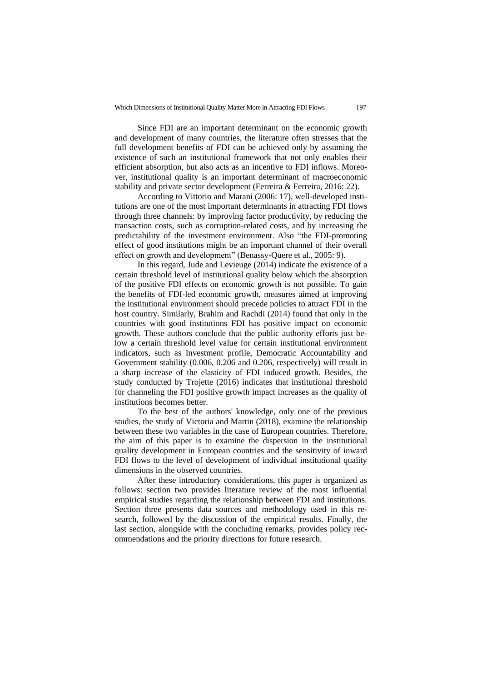Since FDI are an important determinant on the economic growth and development of many countries, the literature often stresses that the full development benefits of FDI can be achieved only by assuming the existence of such an institutional framework that not only enables their efficient absorption, but also acts as an incentive to FDI inflows. Moreover, institutional quality is an important determinant of macroeconomic stability and private sector development (Ferreira & Ferreira, 2016: 22).

According to Vittorio and Marani (2006: 17), well-developed institutions are one of the most important determinants in attracting FDI flows through three channels: by improving factor productivity, by reducing the transaction costs, such as corruption-related costs, and by increasing the predictability of the investment environment. Also "the FDI-promoting effect of good institutions might be an important channel of their overall effect on growth and development" (Benassy-Quere et al., 2005: 9).

In this regard, Jude and Levieuge (2014) indicate the existence of a certain threshold level of institutional quality below which the absorption of the positive FDI effects on economic growth is not possible. To gain the benefits of FDI-led economic growth, measures aimed at improving the institutional environment should precede policies to attract FDI in the host country. Similarly, Brahim and Rachdi (2014) found that only in the countries with good institutions FDI has positive impact on economic growth. These authors conclude that the public authority efforts just below a certain threshold level value for certain institutional environment indicators, such as Investment profile, Democratic Accountability and Government stability (0.006, 0.206 and 0.206, respectively) will result in a sharp increase of the elasticity of FDI induced growth. Besides, the study conducted by Trojette (2016) indicates that institutional threshold for channeling the FDI positive growth impact increases as the quality of institutions becomes better.

To the best of the authors' knowledge, only one of the previous studies, the study of Victoria and Martin (2018), examine the relationship between these two variables in the case of European countries. Therefore, the aim of this paper is to examine the dispersion in the institutional quality development in European countries and the sensitivity of inward FDI flows to the level of development of individual institutional quality dimensions in the observed countries.

After these introductory considerations, this paper is organized as follows: section two provides literature review of the most influential empirical studies regarding the relationship between FDI and institutions. Section three presents data sources and methodology used in this research, followed by the discussion of the empirical results. Finally, the last section, alongside with the concluding remarks, provides policy recommendations and the priority directions for future research.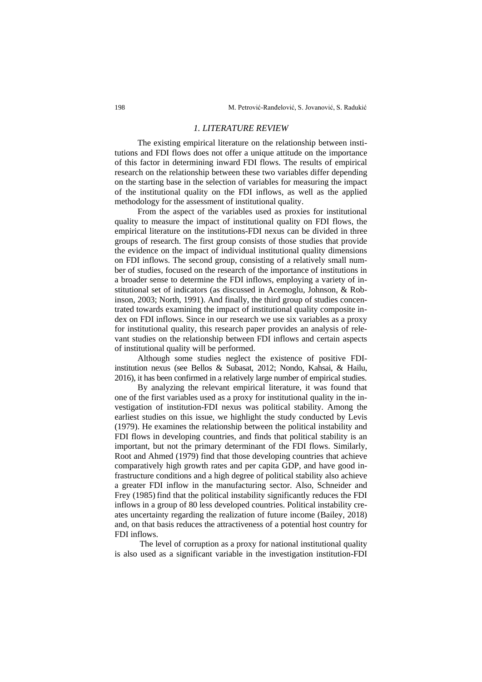### *1. LITERATURE REVIEW*

The existing empirical literature on the relationship between institutions and FDI flows does not offer a unique attitude on the importance of this factor in determining inward FDI flows. The results of empirical research on the relationship between these two variables differ depending on the starting base in the selection of variables for measuring the impact of the institutional quality on the FDI inflows, as well as the applied methodology for the assessment of institutional quality.

From the aspect of the variables used as proxies for institutional quality to measure the impact of institutional quality on FDI flows, the empirical literature on the institutions-FDI nexus can be divided in three groups of research. The first group consists of those studies that provide the evidence on the impact of individual institutional quality dimensions on FDI inflows. The second group, consisting of a relatively small number of studies, focused on the research of the importance of institutions in a broader sense to determine the FDI inflows, employing a variety of institutional set of indicators (as discussed in Acemoglu, Johnson, & Robinson, 2003; North, 1991). And finally, the third group of studies concentrated towards examining the impact of institutional quality composite index on FDI inflows. Since in our research we use six variables as a proxy for institutional quality, this research paper provides an analysis of relevant studies on the relationship between FDI inflows and certain aspects of institutional quality will be performed.

Although some studies neglect the existence of positive FDIinstitution nexus (see Bellos & Subasat, 2012; Nondo, Kahsai, & Hailu, 2016), it has been confirmed in a relatively large number of empirical studies.

By analyzing the relevant empirical literature, it was found that one of the first variables used as a proxy for institutional quality in the investigation of institution-FDI nexus was political stability. Among the earliest studies on this issue, we highlight the study conducted by Levis (1979). He examines the relationship between the political instability and FDI flows in developing countries, and finds that political stability is an important, but not the primary determinant of the FDI flows. Similarly, Root and Ahmed (1979) find that those developing countries that achieve comparatively high growth rates and per capita GDP, and have good infrastructure conditions and a high degree of political stability also achieve a greater FDI inflow in the manufacturing sector. Also, Schneider and Frey (1985) find that the political instability significantly reduces the FDI inflows in a group of 80 less developed countries. Political instability creates uncertainty regarding the realization of future income (Bailey, 2018) and, on that basis reduces the attractiveness of a potential host country for FDI inflows.

The level of corruption as a proxy for national institutional quality is also used as a significant variable in the investigation institution-FDI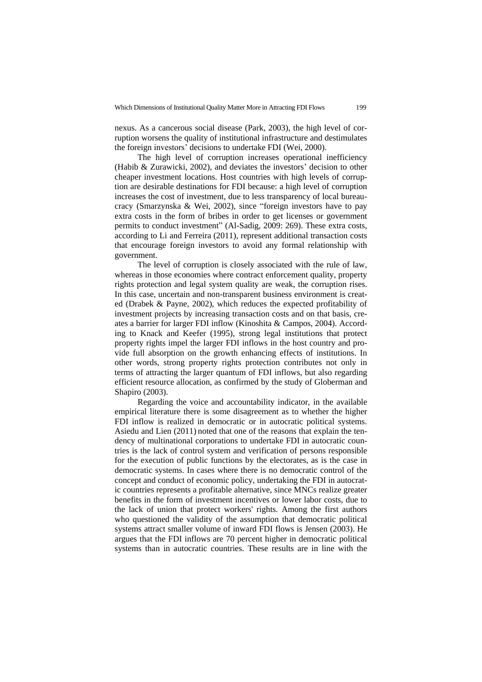nexus. As a cancerous social disease (Park, 2003), the high level of corruption worsens the quality of institutional infrastructure and destimulates the foreign investors' decisions to undertake FDI (Wei, 2000).

The high level of corruption increases operational inefficiency (Habib & Zurawicki, 2002), and deviates the investors' decision to other cheaper investment locations. Host countries with high levels of corruption are desirable destinations for FDI because: a high level of corruption increases the cost of investment, due to less transparency of local bureaucracy (Smarzynska & Wei, 2002), since "foreign investors have to pay extra costs in the form of bribes in order to get licenses or government permits to conduct investment" (Al-Sadig, 2009: 269). These extra costs, according to Li and Ferreira (2011), represent additional transaction costs that encourage foreign investors to avoid any formal relationship with government.

The level of corruption is closely associated with the rule of law, whereas in those economies where contract enforcement quality, property rights protection and legal system quality are weak, the corruption rises. In this case, uncertain and non-transparent business environment is created (Drabek & Payne, 2002), which reduces the expected profitability of investment projects by increasing transaction costs and on that basis, creates a barrier for larger FDI inflow (Kinoshita & Campos, 2004). According to Knack and Keefer (1995), strong legal institutions that protect property rights impel the larger FDI inflows in the host country and provide full absorption on the growth enhancing effects of institutions. In other words, strong property rights protection contributes not only in terms of attracting the larger quantum of FDI inflows, but also regarding efficient resource allocation, as confirmed by the study of Globerman and Shapiro (2003).

Regarding the voice and accountability indicator, in the available empirical literature there is some disagreement as to whether the higher FDI inflow is realized in democratic or in autocratic political systems. Asiedu and Lien (2011) noted that one of the reasons that explain the tendency of multinational corporations to undertake FDI in autocratic countries is the lack of control system and verification of persons responsible for the execution of public functions by the electorates, as is the case in democratic systems. In cases where there is no democratic control of the concept and conduct of economic policy, undertaking the FDI in autocratic countries represents a profitable alternative, since MNCs realize greater benefits in the form of investment incentives or lower labor costs, due to the lack of union that protect workers' rights. Among the first authors who questioned the validity of the assumption that democratic political systems attract smaller volume of inward FDI flows is Jensen (2003). He argues that the FDI inflows are 70 percent higher in democratic political systems than in autocratic countries. These results are in line with the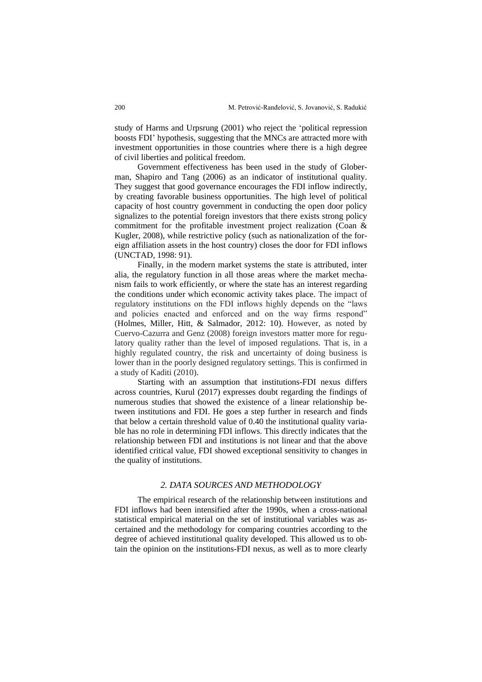study of Harms and Urpsrung (2001) who reject the 'political repression boosts FDI' hypothesis, suggesting that the MNCs are attracted more with investment opportunities in those countries where there is a high degree of civil liberties and political freedom.

Government effectiveness has been used in the study of Globerman, [Shapiro and](https://www.emeraldinsight.com/author/Shapiro%2C+Daniel) Tang (2006) as an indicator of institutional quality. They suggest that good governance encourages the FDI inflow indirectly, by creating favorable business opportunities. The high level of political capacity of host country government in conducting the open door policy signalizes to the potential foreign investors that there exists strong policy commitment for the profitable investment project realization (Coan & Kugler, 2008), while restrictive policy (such as nationalization of the foreign affiliation assets in the host country) closes the door for FDI inflows (UNCTAD, 1998: 91).

Finally, in the modern market systems the state is attributed, inter alia, the regulatory function in all those areas where the market mechanism fails to work efficiently, or where the state has an interest regarding the conditions under which economic activity takes place. The impact of regulatory institutions on the FDI inflows highly depends on the "laws and policies enacted and enforced and on the way firms respond" (Holmes, Miller, Hitt, & Salmador, 2012: 10). However, as noted by Cuervo-Cazurra and Genz (2008) foreign investors matter more for regulatory quality rather than the level of imposed regulations. That is, in a highly regulated country, the risk and uncertainty of doing business is lower than in the poorly designed regulatory settings. This is confirmed in a study of Kaditi (2010).

Starting with an assumption that institutions-FDI nexus differs across countries, Kurul (2017) expresses doubt regarding the findings of numerous studies that showed the existence of a linear relationship between institutions and FDI. He goes a step further in research and finds that below a certain threshold value of 0.40 the institutional quality variable has no role in determining FDI inflows. This directly indicates that the relationship between FDI and institutions is not linear and that the above identified critical value, FDI showed exceptional sensitivity to changes in the quality of institutions.

## *2. DATA SOURCES AND METHODOLOGY*

The empirical research of the relationship between institutions and FDI inflows had been intensified after the 1990s, when a cross-national statistical empirical material on the set of institutional variables was ascertained and the methodology for comparing countries according to the degree of achieved institutional quality developed. This allowed us to obtain the opinion on the institutions-FDI nexus, as well as to more clearly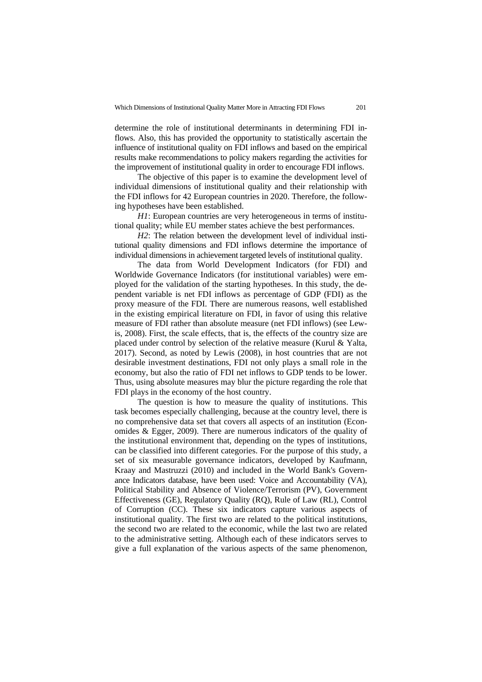determine the role of institutional determinants in determining FDI inflows. Also, this has provided the opportunity to statistically ascertain the influence of institutional quality on FDI inflows and based on the empirical results make recommendations to policy makers regarding the activities for the improvement of institutional quality in order to encourage FDI inflows.

The objective of this paper is to examine the development level of individual dimensions of institutional quality and their relationship with the FDI inflows for 42 European countries in 2020. Therefore, the following hypotheses have been established.

*H1*: European countries are very heterogeneous in terms of institutional quality; while EU member states achieve the best performances.

*H2*: The relation between the development level of individual institutional quality dimensions and FDI inflows determine the importance of individual dimensions in achievement targeted levels of institutional quality.

The data from World Development Indicators (for FDI) and Worldwide Governance Indicators (for institutional variables) were employed for the validation of the starting hypotheses. In this study, the dependent variable is net FDI inflows as percentage of GDP (FDI) as the proxy measure of the FDI. There are numerous reasons, well established in the existing empirical literature on FDI, in favor of using this relative measure of FDI rather than absolute measure (net FDI inflows) (see Lewis, 2008). First, the scale effects, that is, the effects of the country size are placed under control by selection of the relative measure (Kurul & Yalta, 2017). Second, as noted by Lewis (2008), in host countries that are not desirable investment destinations, FDI not only plays a small role in the economy, but also the ratio of FDI net inflows to GDP tends to be lower. Thus, using absolute measures may blur the picture regarding the role that FDI plays in the economy of the host country.

The question is how to measure the quality of institutions. This task becomes especially challenging, because at the country level, there is no comprehensive data set that covers all aspects of an institution (Economides & Egger, 2009). There are numerous indicators of the quality of the institutional environment that, depending on the types of institutions, can be classified into different categories. For the purpose of this study, a set of six measurable governance indicators, developed by Kaufmann, Kraay and Mastruzzi (2010) and included in the World Bank's Governance Indicators database, have been used: Voice and Accountability (VA), Political Stability and Absence of Violence/Terrorism (PV), Government Effectiveness (GE), Regulatory Quality (RQ), Rule of Law (RL), Control of Corruption (CC). These six indicators capture various aspects of institutional quality. The first two are related to the political institutions, the second two are related to the economic, while the last two are related to the administrative setting. Although each of these indicators serves to give a full explanation of the various aspects of the same phenomenon,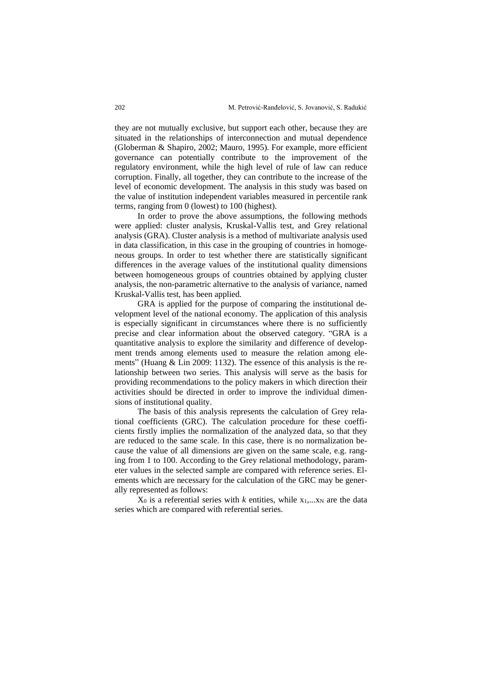they are not mutually exclusive, but support each other, because they are situated in the relationships of interconnection and mutual dependence (Globerman & Shapiro, 2002; Mauro, 1995). For example, more efficient governance can potentially contribute to the improvement of the regulatory environment, while the high level of rule of law can reduce corruption. Finally, all together, they can contribute to the increase of the level of economic development. The analysis in this study was based on the value of institution independent variables measured in percentile rank terms, ranging from 0 (lowest) to 100 (highest).

In order to prove the above assumptions, the following methods were applied: cluster analysis, Kruskal-Vallis test, and Grey relational analysis (GRA). Cluster analysis is a method of multivariate analysis used in data classification, in this case in the grouping of countries in homogeneous groups. In order to test whether there are statistically significant differences in the average values of the institutional quality dimensions between homogeneous groups of countries obtained by applying cluster analysis, the non-parametric alternative to the analysis of variance, named Kruskal-Vallis test, has been applied.

GRA is applied for the purpose of comparing the institutional development level of the national economy. The application of this analysis is especially significant in circumstances where there is no sufficiently precise and clear information about the observed category. "GRA is a quantitative analysis to explore the similarity and difference of development trends among elements used to measure the relation among elements" (Huang & Lin 2009: 1132). The essence of this analysis is the relationship between two series. This analysis will serve as the basis for providing recommendations to the policy makers in which direction their activities should be directed in order to improve the individual dimensions of institutional quality.

The basis of this analysis represents the calculation of Grey relational coefficients (GRC). The calculation procedure for these coefficients firstly implies the normalization of the analyzed data, so that they are reduced to the same scale. In this case, there is no normalization because the value of all dimensions are given on the same scale, e.g. ranging from 1 to 100. According to the Grey relational methodology, parameter values in the selected sample are compared with reference series. Elements which are necessary for the calculation of the GRC may be generally represented as follows:

 $X_0$  is a referential series with  $k$  entities, while  $x_1,...x_N$  are the data series which are compared with referential series.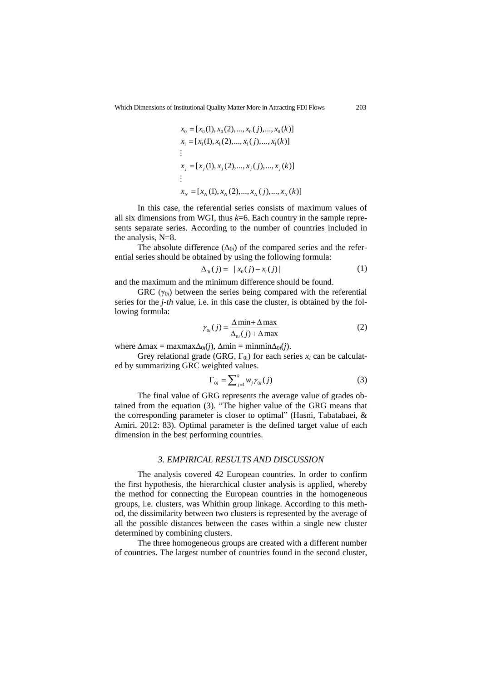$$
x_0 = [x_0(1), x_0(2), ..., x_0(j), ..., x_0(k)]
$$
  
\n
$$
x_1 = [x_1(1), x_1(2), ..., x_1(j), ..., x_1(k)]
$$
  
\n
$$
\vdots
$$
  
\n
$$
x_j = [x_j(1), x_j(2), ..., x_j(j), ..., x_j(k)]
$$
  
\n
$$
\vdots
$$
  
\n
$$
x_N = [x_N(1), x_N(2), ..., x_N(j), ..., x_N(k)]
$$

In this case, the referential series consists of maximum values of all six dimensions from WGI, thus *k*=6. Each country in the sample represents separate series. According to the number of countries included in the analysis, N=8.

The absolute difference  $(\Delta_{0i})$  of the compared series and the referential series should be obtained by using the following formula:

$$
\Delta_{0i}(j) = |x_0(j) - x_i(j)| \tag{1}
$$

and the maximum and the minimum difference should be found.

GRC ( $\gamma_{0i}$ ) between the series being compared with the referential series for the *j-th* value, i.e. in this case the cluster, is obtained by the following formula:

$$
\gamma_{0i}(j) = \frac{\Delta \min + \Delta \max}{\Delta_{0i}(j) + \Delta \max} \tag{2}
$$

where  $\Delta$ max = maxmax $\Delta_{0i}(j)$ ,  $\Delta$ min = minmin $\Delta_{0i}(j)$ .

Grey relational grade (GRG,  $\Gamma_{0i}$ ) for each series  $x_i$  can be calculated by summarizing GRC weighted values.

$$
\Gamma_{0i} = \sum_{j=1}^{k} w_j \gamma_{0i}(j) \tag{3}
$$

The final value of GRG represents the average value of grades obtained from the equation (3). "The higher value of the GRG means that the corresponding parameter is closer to optimal" (Hasni, Tabatabaei, & Amiri, 2012: 83). Optimal parameter is the defined target value of each dimension in the best performing countries.

## *3. EMPIRICAL RESULTS AND DISCUSSION*

The analysis covered 42 European countries. In order to confirm the first hypothesis, the hierarchical cluster analysis is applied, whereby the method for connecting the European countries in the homogeneous groups, i.e. clusters, was Whithin group linkage. According to this method, the dissimilarity between two clusters is represented by the average of all the possible distances between the cases within a single new cluster determined by combining clusters.

The three homogeneous groups are created with a different number of countries. The largest number of countries found in the second cluster,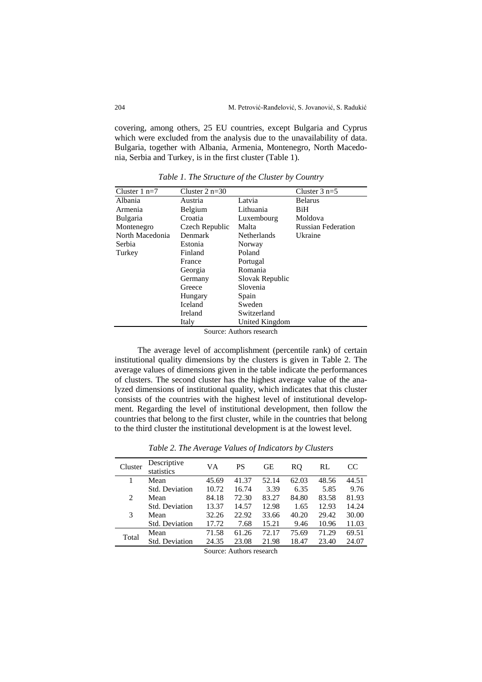covering, among others, 25 EU countries, except Bulgaria and Cyprus which were excluded from the analysis due to the unavailability of data. Bulgaria, together with Albania, Armenia, Montenegro, North Macedonia, Serbia and Turkey, is in the first cluster (Table 1).

| Cluster $1$ n=7 | Cluster $2 n=30$ |                    | Cluster $3$ n=5           |
|-----------------|------------------|--------------------|---------------------------|
| Albania         | Austria          | Latvia             | <b>Belarus</b>            |
| Armenia         | Belgium          | Lithuania          | BiH                       |
| <b>Bulgaria</b> | Croatia          | Luxembourg         | Moldova                   |
| Montenegro      | Czech Republic   | Malta              | <b>Russian Federation</b> |
| North Macedonia | Denmark          | <b>Netherlands</b> | Ukraine                   |
| Serbia          | Estonia          | <b>Norway</b>      |                           |
| Turkey          | Finland          | Poland             |                           |
|                 | France           | Portugal           |                           |
|                 | Georgia          | Romania            |                           |
|                 | Germany          | Slovak Republic    |                           |
|                 | Greece           | Slovenia           |                           |
|                 | Hungary          | Spain              |                           |
|                 | Iceland          | Sweden             |                           |
|                 | Ireland          | Switzerland        |                           |
|                 | Italy            | United Kingdom     |                           |

*Table 1. The Structure of the Cluster by Country*

Source: Authors research

The average level of accomplishment (percentile rank) of certain institutional quality dimensions by the clusters is given in Table 2. The average values of dimensions given in the table indicate the performances of clusters. The second cluster has the highest average value of the analyzed dimensions of institutional quality, which indicates that this cluster consists of the countries with the highest level of institutional development. Regarding the level of institutional development, then follow the countries that belong to the first cluster, while in the countries that belong to the third cluster the institutional development is at the lowest level.

| Cluster | Descriptive<br>statistics | VА    | PS    | GE    | RQ    | RL    | CC    |  |  |
|---------|---------------------------|-------|-------|-------|-------|-------|-------|--|--|
|         | Mean                      | 45.69 | 41.37 | 52.14 | 62.03 | 48.56 | 44.51 |  |  |
|         | Std. Deviation            | 10.72 | 16.74 | 3.39  | 6.35  | 5.85  | 9.76  |  |  |
| 2       | Mean                      | 84.18 | 72.30 | 83.27 | 84.80 | 83.58 | 81.93 |  |  |
|         | Std. Deviation            | 13.37 | 14.57 | 12.98 | 1.65  | 12.93 | 14.24 |  |  |
| 3       | Mean                      | 32.26 | 22.92 | 33.66 | 40.20 | 29.42 | 30.00 |  |  |
|         | Std. Deviation            | 17.72 | 7.68  | 15.21 | 9.46  | 10.96 | 11.03 |  |  |
| Total   | Mean                      | 71.58 | 61.26 | 72.17 | 75.69 | 71.29 | 69.51 |  |  |
|         | Std. Deviation            | 24.35 | 23.08 | 21.98 | 18.47 | 23.40 | 24.07 |  |  |
|         | Source: Authors research  |       |       |       |       |       |       |  |  |

*Table 2. The Average Values of Indicators by Clusters*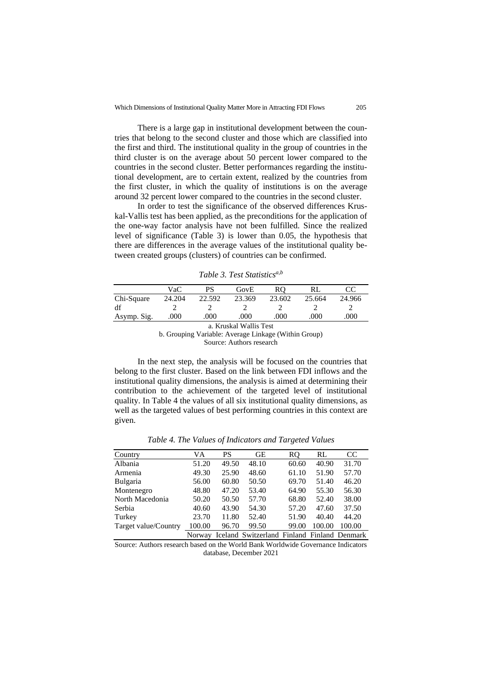There is a large gap in institutional development between the countries that belong to the second cluster and those which are classified into the first and third. The institutional quality in the group of countries in the third cluster is on the average about 50 percent lower compared to the countries in the second cluster. Better performances regarding the institutional development, are to certain extent, realized by the countries from the first cluster, in which the quality of institutions is on the average around 32 percent lower compared to the countries in the second cluster.

In order to test the significance of the observed differences Kruskal-Vallis test has been applied, as the preconditions for the application of the one-way factor analysis have not been fulfilled. Since the realized level of significance (Table 3) is lower than 0.05, the hypothesis that there are differences in the average values of the institutional quality between created groups (clusters) of countries can be confirmed.

|             | VaC    |        | GovE   |        |        |        |
|-------------|--------|--------|--------|--------|--------|--------|
| Chi-Square  | 24.204 | 22.592 | 23.369 | 23.602 | 25.664 | 24.966 |
| df          |        |        |        |        |        |        |
| Asymp. Sig. | .000   | .000   | .000   | .000   | .000   | 000    |

*Table 3. Test Statisticsa,b*

a. Kruskal Wallis Test b. Grouping Variable: Average Linkage (Within Group)

Source: Authors research

In the next step, the analysis will be focused on the countries that belong to the first cluster. Based on the link between FDI inflows and the institutional quality dimensions, the analysis is aimed at determining their contribution to the achievement of the targeted level of institutional quality. In Table 4 the values of all six institutional quality dimensions, as well as the targeted values of best performing countries in this context are given.

| Country              | VA     | PS    | <b>GE</b>                                          | RO.   | RL     | CC     |
|----------------------|--------|-------|----------------------------------------------------|-------|--------|--------|
| Albania              | 51.20  | 49.50 | 48.10                                              | 60.60 | 40.90  | 31.70  |
| Armenia              | 49.30  | 25.90 | 48.60                                              | 61.10 | 51.90  | 57.70  |
| Bulgaria             | 56.00  | 60.80 | 50.50                                              | 69.70 | 51.40  | 46.20  |
| Montenegro           | 48.80  | 47.20 | 53.40                                              | 64.90 | 55.30  | 56.30  |
| North Macedonia      | 50.20  | 50.50 | 57.70                                              | 68.80 | 52.40  | 38.00  |
| Serbia               | 40.60  | 43.90 | 54.30                                              | 57.20 | 47.60  | 37.50  |
| Turkey               | 23.70  | 11.80 | 52.40                                              | 51.90 | 40.40  | 44.20  |
| Target value/Country | 100.00 | 96.70 | 99.50                                              | 99.00 | 100.00 | 100.00 |
|                      |        |       | Norway Iceland Switzerland Finland Finland Denmark |       |        |        |

*Table 4. The Values of Indicators and Targeted Values*

Source: Authors research based on the World Bank Worldwide Governance Indicators database, December 2021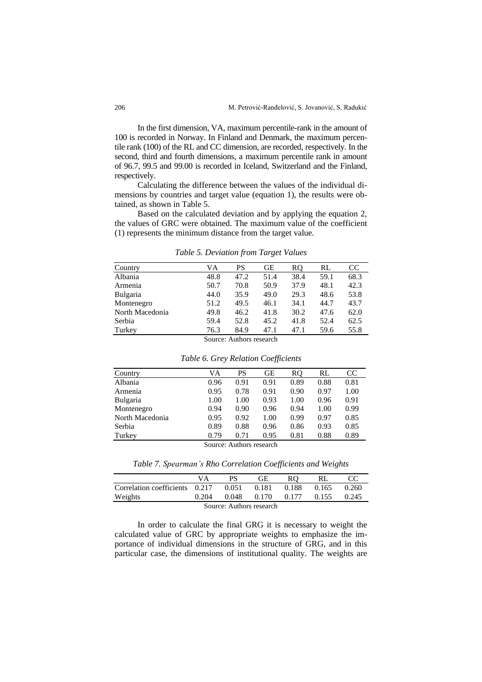In the first dimension, VA, maximum percentile-rank in the amount of 100 is recorded in Norway. In Finland and Denmark, the maximum percentile rank (100) of the RL and CC dimension, are recorded, respectively. In the second, third and fourth dimensions, a maximum percentile rank in amount of 96.7, 99.5 and 99.00 is recorded in Iceland, Switzerland and the Finland, respectively.

Calculating the difference between the values of the individual dimensions by countries and target value (equation 1), the results were obtained, as shown in Table 5.

Based on the calculated deviation and by applying the equation 2, the values of GRC were obtained. The maximum value of the coefficient (1) represents the minimum distance from the target value.

| Country         | VA   | PS                       | GЕ   | RO   | RL   | <sub>CC</sub> |
|-----------------|------|--------------------------|------|------|------|---------------|
| Albania         | 48.8 | 47.2                     | 51.4 | 38.4 | 59.1 | 68.3          |
| Armenia         | 50.7 | 70.8                     | 50.9 | 37.9 | 48.1 | 42.3          |
| <b>Bulgaria</b> | 44.0 | 35.9                     | 49.0 | 29.3 | 48.6 | 53.8          |
| Montenegro      | 51.2 | 49.5                     | 46.1 | 34.1 | 44.7 | 43.7          |
| North Macedonia | 49.8 | 46.2                     | 41.8 | 30.2 | 47.6 | 62.0          |
| Serbia          | 59.4 | 52.8                     | 45.2 | 41.8 | 52.4 | 62.5          |
| Turkey          | 76.3 | 84.9                     | 47.1 | 47.1 | 59.6 | 55.8          |
|                 |      | Source: Authors research |      |      |      |               |

*Table 5. Deviation from Target Values*

|                 | Table 6. Grey Relation Coefficients |      |      |      |      |               |
|-----------------|-------------------------------------|------|------|------|------|---------------|
| Country         | VA                                  | PS   | GЕ   | RQ.  | RL   | <sub>CC</sub> |
| Albania         | 0.96                                | 0.91 | 0.91 | 0.89 | 0.88 | 0.81          |
| Armenia         | 0.95                                | 0.78 | 0.91 | 0.90 | 0.97 | 1.00          |
| <b>Bulgaria</b> | 1.00                                | 1.00 | 0.93 | 1.00 | 0.96 | 0.91          |
| Montenegro      | 0.94                                | 0.90 | 0.96 | 0.94 | 1.00 | 0.99          |
| North Macedonia | 0.95                                | 0.92 | 1.00 | 0.99 | 0.97 | 0.85          |
| Serbia          | 0.89                                | 0.88 | 0.96 | 0.86 | 0.93 | 0.85          |
| Turkey          | 0.79                                | 0.71 | 0.95 | 0.81 | 0.88 | 0.89          |

Source: Authors research

*Table 7. Spearman's Rho Correlation Coefficients and Weights*

|                                | VА    |       | GЕ    |       |       |       |  |  |  |
|--------------------------------|-------|-------|-------|-------|-------|-------|--|--|--|
| Correlation coefficients 0.217 |       | 0.051 | 0.181 | 0.188 | 0.165 | 0.260 |  |  |  |
| Weights                        | 0.204 | 0.048 | 0.170 | 0.177 | 0.155 | 0.245 |  |  |  |
| Source: Authors research       |       |       |       |       |       |       |  |  |  |

In order to calculate the final GRG it is necessary to weight the calculated value of GRC by appropriate weights to emphasize the importance of individual dimensions in the structure of GRG, and in this particular case, the dimensions of institutional quality. The weights are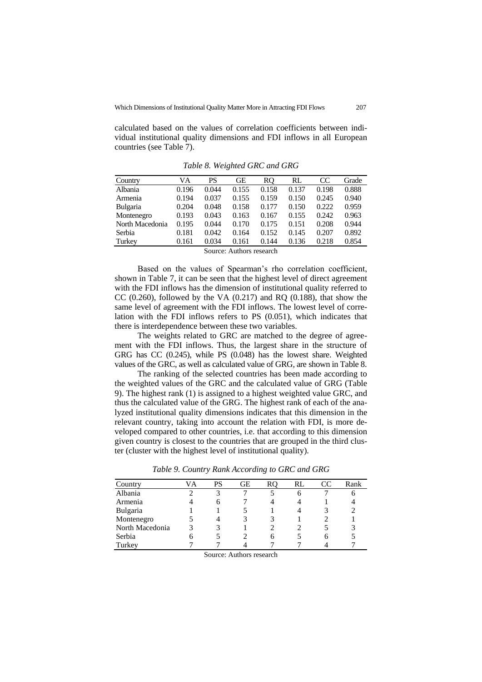calculated based on the values of correlation coefficients between individual institutional quality dimensions and FDI inflows in all European countries (see Table 7).

| Country                  | VA    | PS    | GЕ    | RO.   | RL    | <sub>CC</sub> | Grade |  |  |
|--------------------------|-------|-------|-------|-------|-------|---------------|-------|--|--|
| Albania                  | 0.196 | 0.044 | 0.155 | 0.158 | 0.137 | 0.198         | 0.888 |  |  |
| Armenia                  | 0.194 | 0.037 | 0.155 | 0.159 | 0.150 | 0.245         | 0.940 |  |  |
| <b>Bulgaria</b>          | 0.204 | 0.048 | 0.158 | 0.177 | 0.150 | 0.222         | 0.959 |  |  |
| Montenegro               | 0.193 | 0.043 | 0.163 | 0.167 | 0.155 | 0.242         | 0.963 |  |  |
| North Macedonia          | 0.195 | 0.044 | 0.170 | 0.175 | 0.151 | 0.208         | 0.944 |  |  |
| Serbia                   | 0.181 | 0.042 | 0.164 | 0.152 | 0.145 | 0.207         | 0.892 |  |  |
| Turkey                   | 0.161 | 0.034 | 0.161 | 0.144 | 0.136 | 0.218         | 0.854 |  |  |
| Source: Authors research |       |       |       |       |       |               |       |  |  |

*Table 8. Weighted GRC and GRG*

Based on the values of Spearman's rho correlation coefficient, shown in Table 7, it can be seen that the highest level of direct agreement with the FDI inflows has the dimension of institutional quality referred to CC  $(0.260)$ , followed by the VA  $(0.217)$  and RO  $(0.188)$ , that show the same level of agreement with the FDI inflows. The lowest level of correlation with the FDI inflows refers to PS (0.051), which indicates that there is interdependence between these two variables.

The weights related to GRC are matched to the degree of agreement with the FDI inflows. Thus, the largest share in the structure of GRG has CC (0.245), while PS (0.048) has the lowest share. Weighted values of the GRC, as well as calculated value of GRG, are shown in Table 8.

The ranking of the selected countries has been made according to the weighted values of the GRC and the calculated value of GRG (Table 9). The highest rank (1) is assigned to a highest weighted value GRC, and thus the calculated value of the GRG. The highest rank of each of the analyzed institutional quality dimensions indicates that this dimension in the relevant country, taking into account the relation with FDI, is more developed compared to other countries, i.e. that according to this dimension given country is closest to the countries that are grouped in the third cluster (cluster with the highest level of institutional quality).

| Country         | VА | PS | GЕ |   | RL | CC | Rank |
|-----------------|----|----|----|---|----|----|------|
| Albania         |    | 3  |    |   | h  |    | n    |
| Armenia         |    | 6  |    |   |    |    |      |
| Bulgaria        |    |    |    |   |    |    |      |
| Montenegro      |    |    |    |   |    |    |      |
| North Macedonia |    |    |    |   |    |    |      |
| Serbia          | h  |    |    | 6 |    | h  |      |
| Turkey          |    |    |    |   |    |    |      |

*Table 9. Country Rank According to GRC and GRG*

Source: Authors research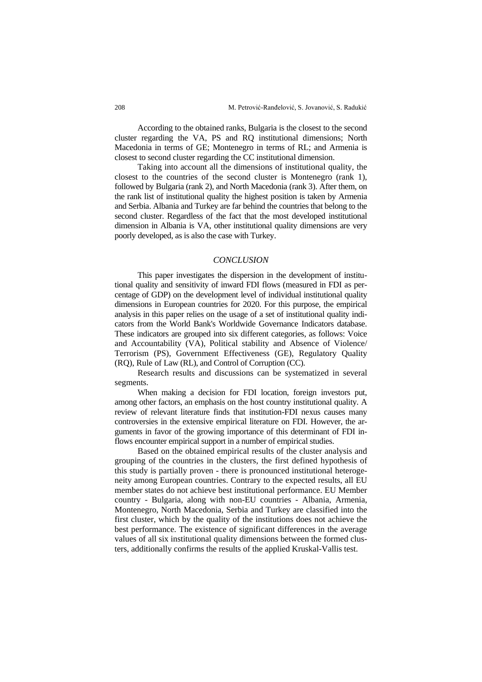According to the obtained ranks, Bulgaria is the closest to the second cluster regarding the VA, PS and RQ institutional dimensions; North Macedonia in terms of GE; Montenegro in terms of RL; and Armenia is closest to second cluster regarding the CC institutional dimension.

Taking into account all the dimensions of institutional quality, the closest to the countries of the second cluster is Montenegro (rank 1), followed by Bulgaria (rank 2), and North Macedonia (rank 3). After them, on the rank list of institutional quality the highest position is taken by Armenia and Serbia. Albania and Turkey are far behind the countries that belong to the second cluster. Regardless of the fact that the most developed institutional dimension in Albania is VA, other institutional quality dimensions are very poorly developed, as is also the case with Turkey.

### *CONCLUSION*

This paper investigates the dispersion in the development of institutional quality and sensitivity of inward FDI flows (measured in FDI as percentage of GDP) on the development level of individual institutional quality dimensions in European countries for 2020. For this purpose, the empirical analysis in this paper relies on the usage of a set of institutional quality indicators from the World Bank's Worldwide Governance Indicators database. These indicators are grouped into six different categories, as follows: Voice and Accountability (VA), Political stability and Absence of Violence/ Terrorism (PS), Government Effectiveness (GE), Regulatory Quality (RQ), Rule of Law (RL), and Control of Corruption (CC).

Research results and discussions can be systematized in several segments.

When making a decision for FDI location, foreign investors put, among other factors, an emphasis on the host country institutional quality. A review of relevant literature finds that institution-FDI nexus causes many controversies in the extensive empirical literature on FDI. However, the arguments in favor of the growing importance of this determinant of FDI inflows encounter empirical support in a number of empirical studies.

Based on the obtained empirical results of the cluster analysis and grouping of the countries in the clusters, the first defined hypothesis of this study is partially proven - there is pronounced institutional heterogeneity among European countries. Contrary to the expected results, all EU member states do not achieve best institutional performance. EU Member country - Bulgaria, along with non-EU countries - Albania, Armenia, Montenegro, North Macedonia, Serbia and Turkey are classified into the first cluster, which by the quality of the institutions does not achieve the best performance. The existence of significant differences in the average values of all six institutional quality dimensions between the formed clusters, additionally confirms the results of the applied Kruskal-Vallis test.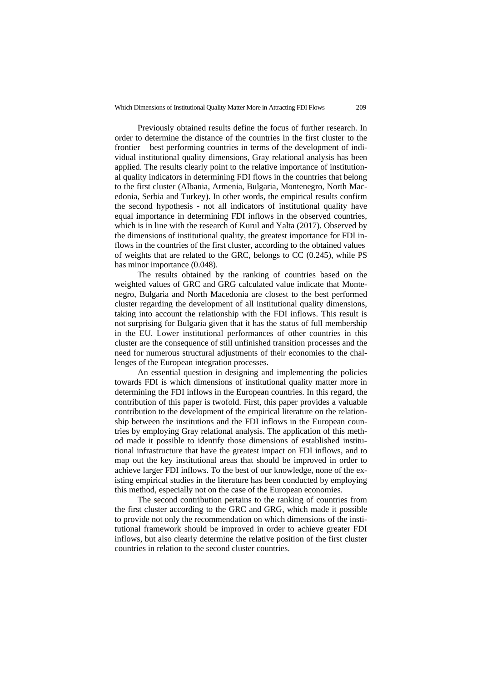Previously obtained results define the focus of further research. In order to determine the distance of the countries in the first cluster to the frontier – best performing countries in terms of the development of individual institutional quality dimensions, Gray relational analysis has been applied. The results clearly point to the relative importance of institutional quality indicators in determining FDI flows in the countries that belong to the first cluster (Albania, Armenia, Bulgaria, Montenegro, North Macedonia, Serbia and Turkey). In other words, the empirical results confirm the second hypothesis - not all indicators of institutional quality have equal importance in determining FDI inflows in the observed countries, which is in line with the research of Kurul and Yalta (2017). Observed by the dimensions of institutional quality, the greatest importance for FDI inflows in the countries of the first cluster, according to the obtained values of weights that are related to the GRC, belongs to CC (0.245), while PS has minor importance  $(0.048)$ .

The results obtained by the ranking of countries based on the weighted values of GRC and GRG calculated value indicate that Montenegro, Bulgaria and North Macedonia are closest to the best performed cluster regarding the development of all institutional quality dimensions, taking into account the relationship with the FDI inflows. This result is not surprising for Bulgaria given that it has the status of full membership in the EU. Lower institutional performances of other countries in this cluster are the consequence of still unfinished transition processes and the need for numerous structural adjustments of their economies to the challenges of the European integration processes.

An essential question in designing and implementing the policies towards FDI is which dimensions of institutional quality matter more in determining the FDI inflows in the European countries. In this regard, the contribution of this paper is twofold. First, this paper provides a valuable contribution to the development of the empirical literature on the relationship between the institutions and the FDI inflows in the European countries by employing Gray relational analysis. The application of this method made it possible to identify those dimensions of established institutional infrastructure that have the greatest impact on FDI inflows, and to map out the key institutional areas that should be improved in order to achieve larger FDI inflows. To the best of our knowledge, none of the existing empirical studies in the literature has been conducted by employing this method, especially not on the case of the European economies.

The second contribution pertains to the ranking of countries from the first cluster according to the GRC and GRG, which made it possible to provide not only the recommendation on which dimensions of the institutional framework should be improved in order to achieve greater FDI inflows, but also clearly determine the relative position of the first cluster countries in relation to the second cluster countries.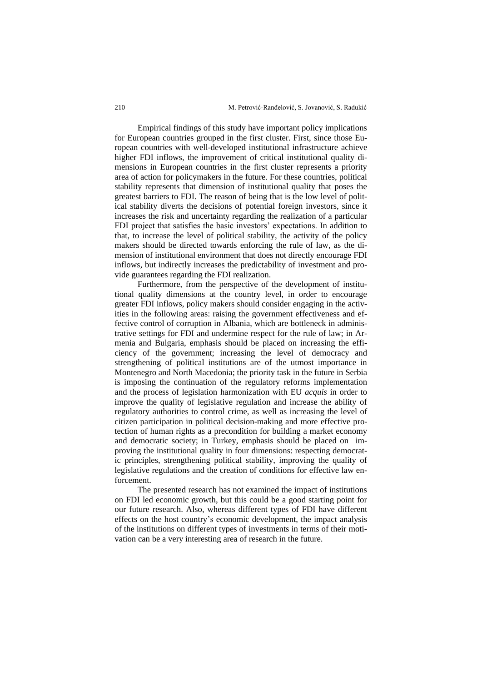Empirical findings of this study have important policy implications for European countries grouped in the first cluster. First, since those European countries with well-developed institutional infrastructure achieve higher FDI inflows, the improvement of critical institutional quality dimensions in European countries in the first cluster represents a priority area of action for policymakers in the future. For these countries, political stability represents that dimension of institutional quality that poses the greatest barriers to FDI. The reason of being that is the low level of political stability diverts the decisions of potential foreign investors, since it increases the risk and uncertainty regarding the realization of a particular FDI project that satisfies the basic investors' expectations. In addition to that, to increase the level of political stability, the activity of the policy makers should be directed towards enforcing the rule of law, as the dimension of institutional environment that does not directly encourage FDI inflows, but indirectly increases the predictability of investment and provide guarantees regarding the FDI realization.

Furthermore, from the perspective of the development of institutional quality dimensions at the country level, in order to encourage greater FDI inflows, policy makers should consider engaging in the activities in the following areas: raising the government effectiveness and effective control of corruption in Albania, which are bottleneck in administrative settings for FDI and undermine respect for the rule of law; in Armenia and Bulgaria, emphasis should be placed on increasing the efficiency of the government; increasing the level of democracy and strengthening of political institutions are of the utmost importance in Montenegro and North Macedonia; the priority task in the future in Serbia is imposing the continuation of the regulatory reforms implementation and the process of legislation harmonization with EU *acquis* in order to improve the quality of legislative regulation and increase the ability of regulatory authorities to control crime, as well as increasing the level of citizen participation in political decision-making and more effective protection of human rights as a precondition for building a market economy and democratic society; in Turkey, emphasis should be placed on improving the institutional quality in four dimensions: respecting democratic principles, strengthening political stability, improving the quality of legislative regulations and the creation of conditions for effective law enforcement.

The presented research has not examined the impact of institutions on FDI led economic growth, but this could be a good starting point for our future research. Also, whereas different types of FDI have different effects on the host country's economic development, the impact analysis of the institutions on different types of investments in terms of their motivation can be a very interesting area of research in the future.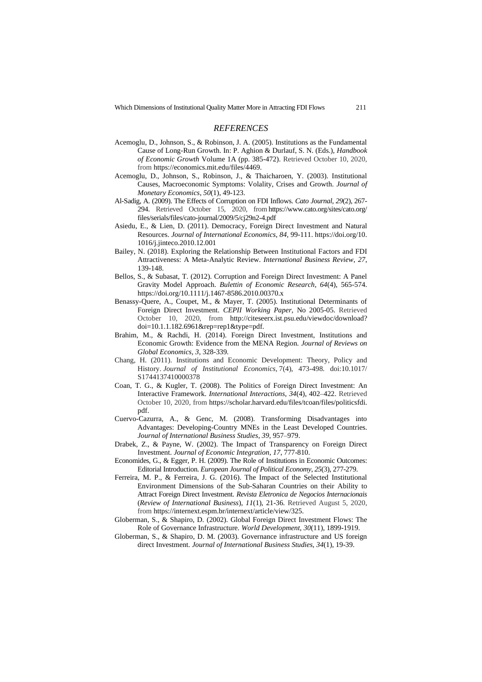### *REFERENCES*

- Acemoglu, D., Johnson, S., & Robinson, J. A. (2005). Institutions as the Fundamental Cause of Long-Run Growth. In: P. Aghion & Durlauf, S. N. (Eds.), *Handbook of Economic Growth* Volume 1A (pp. 385-472). Retrieved October 10, 2020, from https://economics.mit.edu/files/4469.
- Acemoglu, D., Johnson, S., Robinson, J., & Thaicharoen, Y. (2003). Institutional Causes, Macroeconomic Symptoms: Volality, Crises and Growth. *Journal of Monetary Economics*, *50*(1), 49-123.
- Al-Sadig, A. (2009). The Effects of Corruption on FDI Inflows. *Cato Journal*, *29*(2), 267- 294. Retrieved October 15, 2020, from https://www.cato.org/sites/cato.org/ files/serials/files/cato-journal/2009/5/cj29n2-4.pdf
- Asiedu, E., & Lien, D. (2011). Democracy, Foreign Direct Investment and Natural Resources. *Journal of International Economics*, *84,* 99-111. https://doi.org/10. 1016/j.jinteco.2010.12.001
- Bailey, N. (2018). Exploring the Relationship Between Institutional Factors and FDI Attractiveness: A Meta-Analytic Review. *International Business Review*, *27*, 139-148.
- Bellos, S., & Subasat, T. (2012). Corruption and Foreign Direct Investment: A Panel Gravity Model Approach. *Bulettin of Economic Research*, *64*(4), 565-574. https://doi.org/10.1111/j.1467-8586.2010.00370.x
- Benassy-Quere, A., Coupet, M., & Mayer, T. (2005). Institutional Determinants of Foreign Direct Investment. *CEPII Working Paper,* No 2005-05. Retrieved October 10, 2020, from http://citeseerx.ist.psu.edu/viewdoc/download? doi=10.1.1.182.6961&rep=rep1&type=pdf.
- Brahim, M., & Rachdi, H. (2014). Foreign Direct Investment, Institutions and Economic Growth: Evidence from the MENA Region. *Journal of Reviews on Global Economics, 3*, 328-339.
- Chang, H. (2011). Institutions and Economic Development: Theory, Policy and History. *Journal of Institutional Economics,* 7(4), 473-498. doi:10.1017/ S1744137410000378
- Coan, T. G., & Kugler, T. (2008). The Politics of Foreign Direct Investment: An Interactive Framework. *International Interactions*, *34*(4), 402–422. Retrieved October 10, 2020, from https://scholar.harvard.edu/files/tcoan/files/politicsfdi. pdf.
- Cuervo-Cazurra, A., & Genc, M. (2008). Transforming Disadvantages into Advantages: Developing-Country MNEs in the Least Developed Countries. *Journal of International Business Studies*, *39*, 957–979.
- Drabek, Z., & Payne, W. (2002). The Impact of Transparency on Foreign Direct Investment. *Journal of Economic Integration*, *17*, 777-810.
- Economides, G., & Egger, P. H. (2009). The Role of Institutions in Economic Outcomes: Editorial Introduction. *European Journal of Political Economy*, *25*(3), 277-279.
- Ferreira, M. P., & Ferreira, J. G. (2016). The Impact of the Selected Institutional Environment Dimensions of the Sub-Saharan Countries on their Ability to Attract Foreign Direct Investment. *Revista Eletronica de Negocios Internacionais*  (*Review of International Business*), *11*(1), 21-36. Retrieved August 5, 2020, from https://internext.espm.br/internext/article/view/325.
- Globerman, S., & Shapiro, D. (2002). Global Foreign Direct Investment Flows: The Role of Governance Infrastructure. *World Development*, *30*(11), 1899-1919.
- Globerman, S., & Shapiro, D. M. (2003). Governance infrastructure and US foreign direct Investment. *Journal of International Business Studies*, *34*(1), 19-39.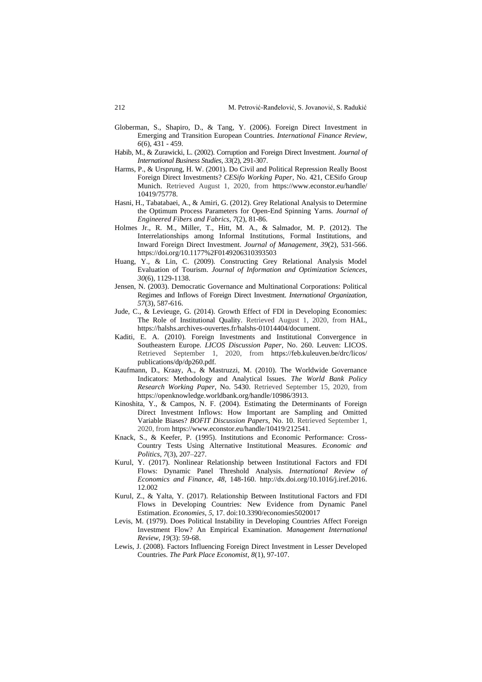- Globerman, S., [Shapiro, D.,](https://www.emeraldinsight.com/author/Shapiro%2C+Daniel) & Tang, Y. (2006). Foreign Direct Investment in Emerging and Transition European Countries. *International Finance Review*, *6*(6), 431 - 459.
- Habib, M., & Zurawicki, L. (2002). Corruption and Foreign Direct Investment. *Journal of International Business Studies*, *33*(2), 291-307.
- Harms, P., & Ursprung, H. W. (2001). Do Civil and Political Repression Really Boost Foreign Direct Investments? *CESifo Working Paper*, No. 421, CESifo Group Munich. Retrieved August 1, 2020, from https://www.econstor.eu/handle/ 10419/75778.
- Hasni, H., Tabatabaei, A., & Amiri, G. (2012). Grey Relational Analysis to Determine the Optimum Process Parameters for Open-End Spinning Yarns. *Journal of Engineered Fibers and Fabrics*, *7*(2), 81-86.
- Holmes Jr., R. M., Miller, T., Hitt, M. A., & Salmador, M. P. (2012). The Interrelationships among Informal Institutions, Formal Institutions, and Inward Foreign Direct Investment. *Journal of Management*, *39*(2), 531-566. https://doi.org/10.1177%2F0149206310393503
- Huang, Y., & Lin, C. (2009). Constructing Grey Relational Analysis Model Evaluation of Tourism. *Journal of Information and Optimization Sciences*, *30*(6), 1129-1138.
- Jensen, N. (2003). Democratic Governance and Multinational Corporations: Political Regimes and Inflows of Foreign Direct Investment. *International Organization, 57*(3), 587-616.
- Jude, C., & Levieuge, G. (2014). Growth Effect of FDI in Developing Economies: The Role of Institutional Quality. Retrieved August 1, 2020, from HAL, https://halshs.archives-ouvertes.fr/halshs-01014404/document.
- Kaditi, E. A. (2010). Foreign Investments and Institutional Convergence in Southeastern Europe. *LICOS Discussion Paper*, No. 260. Leuven: LICOS. Retrieved September 1, 2020, from https://feb.kuleuven.be/drc/licos/ publications/dp/dp260.pdf.
- Kaufmann, D., Kraay, A., & Mastruzzi, M. (2010). The Worldwide Governance Indicators: Methodology and Analytical Issues. *The World Bank Policy Research Working Paper*, No. 5430. Retrieved September 15, 2020, from https://openknowledge.worldbank.org/handle/10986/3913.
- Kinoshita, Y., & Campos, N. F. (2004). Estimating the Determinants of Foreign Direct Investment Inflows: How Important are Sampling and Omitted Variable Biases? *BOFIT Discussion Papers*, No. 10. Retrieved September 1, 2020, from https://www.econstor.eu/handle/10419/212541.
- Knack, S., & Keefer, P. (1995). Institutions and Economic Performance: Cross-Country Tests Using Alternative Institutional Measures. *Economic and Politics*, *7*(3), 207–227.
- Kurul, Y. (2017). Nonlinear Relationship between Institutional Factors and FDI Flows: Dynamic Panel Threshold Analysis. *International Review of Economics and Finance*, *48*, 148-160. http://dx.doi.org/10.1016/j.iref.2016. 12.002
- Kurul, Z., & Yalta, Y. (2017). Relationship Between Institutional Factors and FDI Flows in Developing Countries: New Evidence from Dynamic Panel Estimation. *Economies*, *5*, 17. doi:10.3390/economies5020017
- Levis, M. (1979). Does Political Instability in Developing Countries Affect Foreign Investment Flow? An Empirical Examination. *Management International Review*, *19*(3): 59-68.
- Lewis, J. (2008). Factors Influencing Foreign Direct Investment in Lesser Developed Countries. *The Park Place Economist*, *8*(1), 97-107.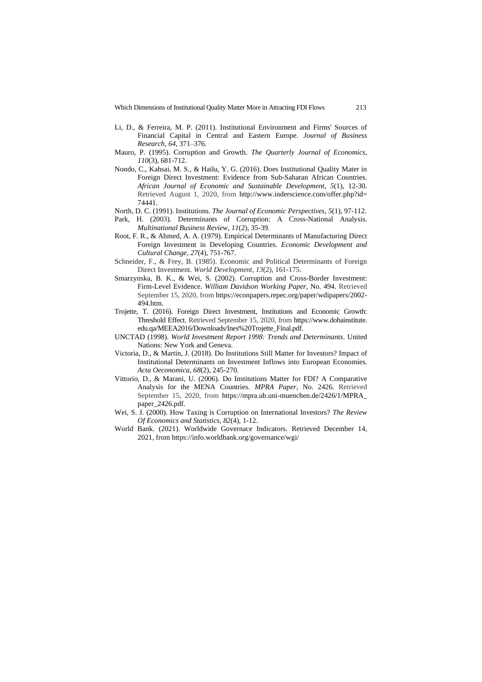Which Dimensions of Institutional Quality Matter More in Attracting FDI Flows 213

- Li, D., & Ferreira, M. P. (2011). Institutional Environment and Firms' Sources of Financial Capital in Central and Eastern Europe. *Journal of Business Research*, *64*, 371–376.
- Mauro, P. (1995). Corruption and Growth. *The Quarterly Journal of Economics*, *110*(3), 681-712.
- Nondo, C., Kahsai, M. S., & Hailu, Y. G. (2016). Does Institutional Quality Mater in Foreign Direct Investment: Evidence from Sub-Saharan African Countries. *African Journal of Economic and Sustainable Development*, *5*(1), 12-30. Retrieved August 1, 2020, from http://www.inderscience.com/offer.php?id= 74441.
- North, D. C. (1991). Institutions. *The Journal of Economic Perspectives*, *5*(1), 97-112.
- Park, H. (2003). Determinants of Corruption: A Cross-National Analysis. *Multinational Business Review*, *11*(2), 35-39.
- Root, F. R., & Ahmed, A. A. (1979). Empirical Determinants of Manufacturing Direct Foreign Investment in Developing Countries. *Economic Development and Cultural Change*, *27*(4), 751-767.
- Schneider, F., & Frey, B. (1985). Economic and Political Determinants of Foreign Direct Investment. *World Development*, *13*(2), 161-175.
- Smarzynska, B. K., & Wei, S. (2002). Corruption and Cross-Border Investment: Firm-Level Evidence. *William Davidson Working Paper*, No. 494. Retrieved September 15, 2020, from https://econpapers.repec.org/paper/wdipapers/2002- 494.htm.
- Trojette, T. (2016). Foreign Direct Investment, Institutions and Economic Growth: Threshold Effect. Retrieved September 15, 2020, from https://www.dohainstitute. edu.qa/MEEA2016/Downloads/Ines%20Trojette\_Final.pdf.
- UNCTAD (1998). *World Investment Report 1998: Trends and Determinants*. United Nations: New York and Geneva.
- Victoria, D., & Martin, J. (2018). Do Institutions Still Matter for Investors? Impact of Institutional Determinants on Investment Inflows into European Economies. *Acta Oeconomica*, *68*(2), 245-270.
- Vittorio, D., & Marani, U. (2006). Do Institutions Matter for FDI? A Comparative Analysis for the MENA Countries. *MPRA Paper*, No. 2426. Retrieved September 15, 2020, from https://mpra.ub.uni-muenchen.de/2426/1/MPRA\_ paper\_2426.pdf.
- Wei, S. J. (2000). How Taxing is Corruption on International Investors? *The Review Of Economics and Statistics*, *82*(4), 1-12.
- World Bank. (2021). Worldwide Governace Indicators. Retrieved December 14, 2021, from https://info.worldbank.org/governance/wgi/